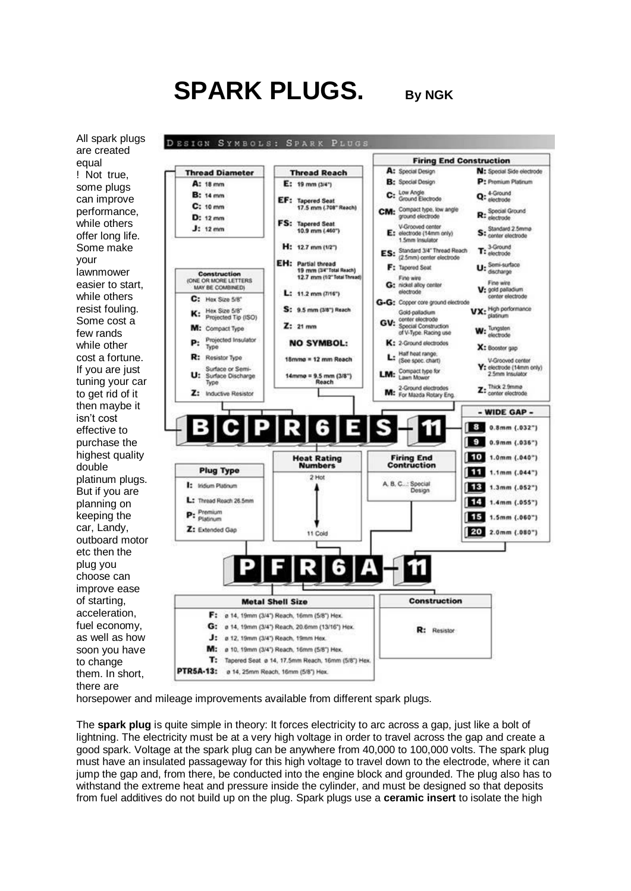# **SPARK PLUGS. By NGK**

All spark plugs are created equal ! Not true, some plugs can improve performance, while others offer long life. Some make your lawnmower easier to start, while others resist fouling. Some cost a few rands while other cost a fortune. If you are just tuning your car to get rid of it then maybe it isn't cost effective to purchase the highest quality double platinum plugs. But if you are planning on keeping the car, Landy, outboard motor etc then the plug you choose can improve ease of starting, acceleration, fuel economy, as well as how soon you have to change them. In short, there are



horsepower and mileage improvements available from different spark plugs.

The **spark plug** is quite simple in theory: It forces electricity to arc across a gap, just like a bolt of [lightning.](http://auto.howstuffworks.com/lightning.htm) The electricity must be at a very high voltage in order to travel across the gap and create a good spark. Voltage at the spark plug can be anywhere from 40,000 to 100,000 volts. The spark plug must have an insulated passageway for this high voltage to travel down to the electrode, where it can jump the gap and, from there, be conducted into the engine block and grounded. The plug also has to withstand the extreme heat and pressure inside the cylinder, and must be designed so that deposits from fuel additives do not build up on the plug. Spark plugs use a **ceramic insert** to isolate the high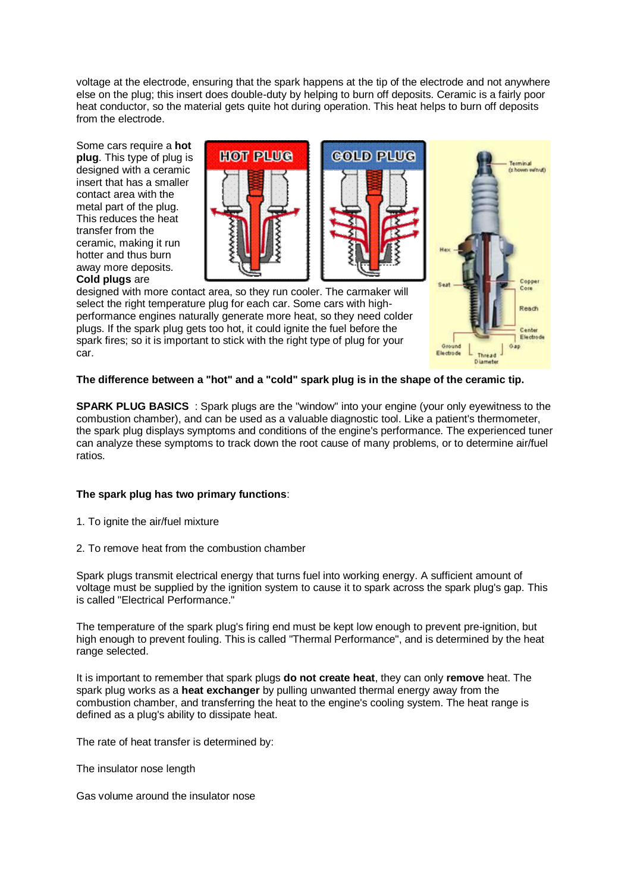voltage at the electrode, ensuring that the spark happens at the tip of the electrode and not anywhere else on the plug; this insert does double-duty by helping to burn off deposits. Ceramic is a fairly poor heat conductor, so the material gets quite hot during operation. This heat helps to burn off deposits from the electrode.

Some cars require a **hot plug**. This type of plug is designed with a ceramic insert that has a smaller contact area with the metal part of the plug. This reduces the heat transfer from the ceramic, making it run hotter and thus burn away more deposits. **Cold plugs** are







designed with more contact area, so they run cooler. The carmaker will select the right temperature plug for each car. Some cars with highperformance engines naturally generate more heat, so they need colder plugs. If the spark plug gets too hot, it could ignite the fuel before the spark fires; so it is important to stick with the right type of plug for your car.

## **The difference between a "hot" and a "cold" spark plug is in the shape of the ceramic tip.**

**SPARK PLUG BASICS** : Spark plugs are the "window" into your engine (your only eyewitness to the combustion chamber), and can be used as a valuable diagnostic tool. Like a patient's thermometer, the spark plug displays symptoms and conditions of the engine's performance. The experienced tuner can analyze these symptoms to track down the root cause of many problems, or to determine air/fuel ratios.

## **The spark plug has two primary functions**:

- 1. To ignite the air/fuel mixture
- 2. To remove heat from the combustion chamber

Spark plugs transmit electrical energy that turns fuel into working energy. A sufficient amount of voltage must be supplied by the ignition system to cause it to spark across the spark plug's gap. This is called "Electrical Performance."

The temperature of the spark plug's firing end must be kept low enough to prevent pre-ignition, but high enough to prevent fouling. This is called "Thermal Performance", and is determined by the heat range selected.

It is important to remember that spark plugs **do not create heat**, they can only **remove** heat. The spark plug works as a **heat exchanger** by pulling unwanted thermal energy away from the combustion chamber, and transferring the heat to the engine's cooling system. The heat range is defined as a plug's ability to dissipate heat.

The rate of heat transfer is determined by:

The insulator nose length

Gas volume around the insulator nose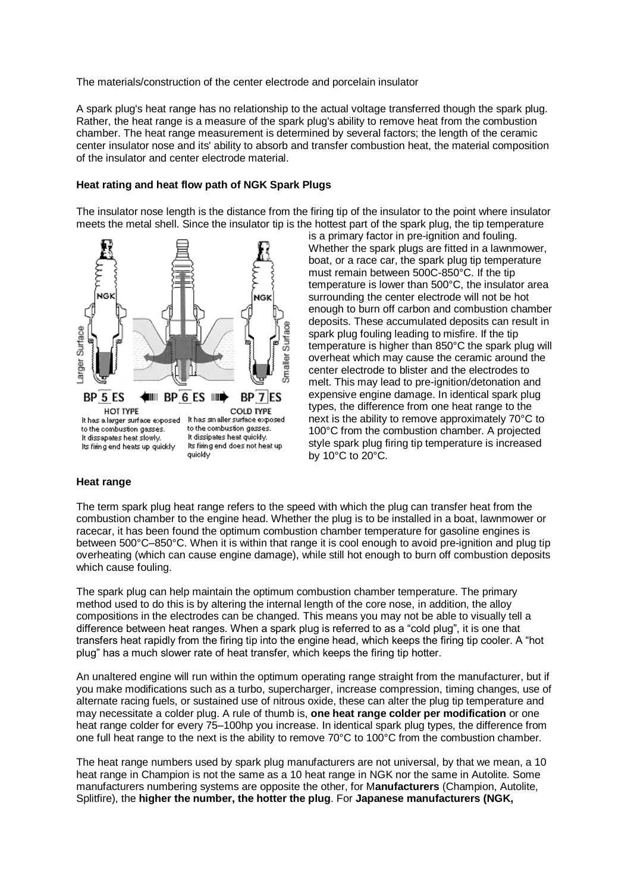The materials/construction of the center electrode and porcelain insulator

A spark plug's heat range has no relationship to the actual voltage transferred though the spark plug. Rather, the heat range is a measure of the spark plug's ability to remove heat from the combustion chamber. The heat range measurement is determined by several factors; the length of the ceramic center insulator nose and its' ability to absorb and transfer combustion heat, the material composition of the insulator and center electrode material.

#### **Heat rating and heat flow path of NGK Spark Plugs**

The insulator nose length is the distance from the firing tip of the insulator to the point where insulator meets the metal shell. Since the insulator tip is the hottest part of the spark plug, the tip temperature



is a primary factor in pre-ignition and fouling. Whether the spark plugs are fitted in a lawnmower, boat, or a race car, the spark plug tip temperature must remain between 500C-850°C. If the tip temperature is lower than 500°C, the insulator area surrounding the center electrode will not be hot enough to burn off carbon and combustion chamber deposits. These accumulated deposits can result in spark plug fouling leading to misfire. If the tip temperature is higher than 850°C the spark plug will overheat which may cause the ceramic around the center electrode to blister and the electrodes to melt. This may lead to pre-ignition/detonation and expensive engine damage. In identical spark plug types, the difference from one heat range to the next is the ability to remove approximately 70°C to 100°C from the combustion chamber. A projected style spark plug firing tip temperature is increased by 10°C to 20°C.

#### **Heat range**

The term spark plug heat range refers to the speed with which the plug can transfer heat from the combustion chamber to the engine head. Whether the plug is to be installed in a boat, lawnmower or racecar, it has been found the optimum combustion chamber temperature for gasoline engines is between 500°C–850°C. When it is within that range it is cool enough to avoid [pre-ignition](javascript:glos() and plug tip overheating (which can cause engine damage), while still hot enough to burn off combustion deposits which cause [fouling.](javascript:glos()

The spark plug can help maintain the optimum combustion chamber temperature. The primary method used to do this is by altering the internal length of the core nose, in addition, the alloy compositions in the electrodes can be changed. This means you may not be able to visually tell a difference between heat ranges. When a spark plug is referred to as a "cold plug", it is one that transfers heat rapidly from the firing tip into the engine head, which keeps the firing tip cooler. A "hot plug" has a much slower rate of heat transfer, which keeps the firing tip hotter.

An unaltered engine will run within the optimum operating range straight from the manufacturer, but if you make modifications such as a turbo, supercharger, increase compression, [timing](javascript:charglos() changes, use of alternate racing fuels, or sustained use of [nitrous](javascript:charglos() oxide, these can alter the plug tip temperature and may necessitate a colder plug. A rule of thumb is, **one heat range colder per modification** or one heat range colder for every 75–100hp you increase. In identical spark plug types, the difference from one full heat range to the next is the ability to remove 70°C to 100°C from the combustion chamber.

The heat range numbers used by spark plug manufacturers are not universal, by that we mean, a 10 heat range in Champion is not the same as a 10 heat range in NGK nor the same in Autolite. Some manufacturers numbering systems are opposite the other, for M**anufacturers** (Champion, Autolite, Splitfire), the **higher the number, the hotter the plug**. For **Japanese manufacturers (NGK,**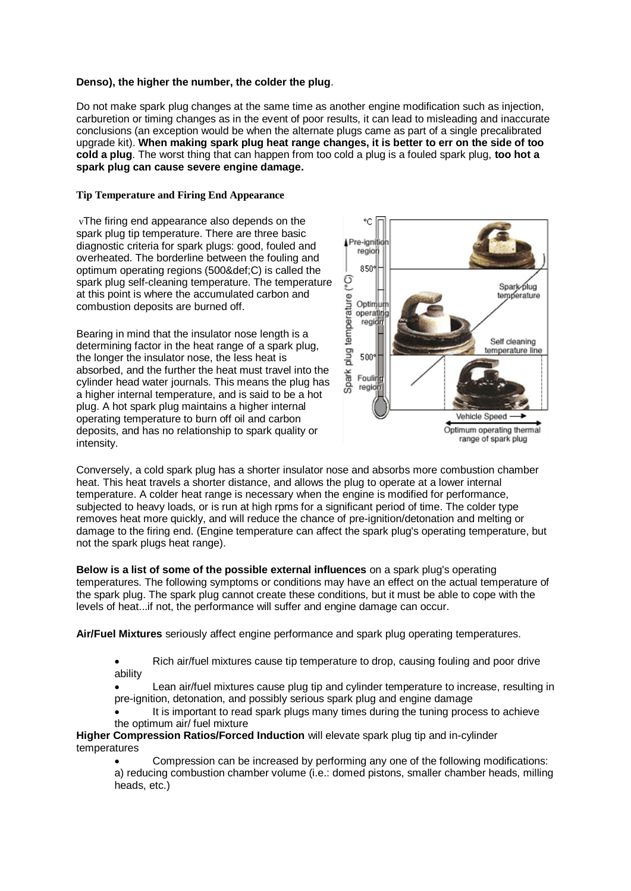## **Denso), the higher the number, the colder the plug**.

Do not make spark plug changes at the same time as another engine modification such as injection, carburetion or [timing](javascript:charglos() changes as in the event of poor results, it can lead to misleading and inaccurate conclusions (an exception would be when the alternate plugs came as part of a single precalibrated upgrade kit). **When making spark plug heat range changes, it is better to err on the side of too cold a plug**. The worst thing that can happen from too cold a plug is a fouled spark plug, **too hot a spark plug can cause severe engine damage.**

#### **Tip Temperature and Firing End Appearance**

vThe firing end appearance also depends on the spark plug tip temperature. There are three basic diagnostic criteria for spark plugs: good, fouled and overheated. The borderline between the fouling and optimum operating regions (500&def;C) is called the spark plug self-cleaning temperature. The temperature at this point is where the accumulated carbon and combustion deposits are burned off.

Bearing in mind that the insulator nose length is a determining factor in the heat range of a spark plug, the longer the insulator nose, the less heat is absorbed, and the further the heat must travel into the cylinder head water journals. This means the plug has a higher internal temperature, and is said to be a hot plug. A hot spark plug maintains a higher internal operating temperature to burn off oil and carbon deposits, and has no relationship to spark quality or intensity.



Conversely, a cold spark plug has a shorter insulator nose and absorbs more combustion chamber heat. This heat travels a shorter distance, and allows the plug to operate at a lower internal temperature. A colder heat range is necessary when the engine is modified for performance, subjected to heavy loads, or is run at high rpms for a significant period of time. The colder type removes heat more quickly, and will reduce the chance of pre-ignition/detonation and melting or damage to the firing end. (Engine temperature can affect the spark plug's operating temperature, but not the spark plugs heat range).

**Below is a list of some of the possible external influences** on a spark plug's operating temperatures. The following symptoms or conditions may have an effect on the actual temperature of the spark plug. The spark plug cannot create these conditions, but it must be able to cope with the levels of heat...if not, the performance will suffer and engine damage can occur.

**Air/Fuel Mixtures** seriously affect engine performance and spark plug operating temperatures.

- Rich air/fuel mixtures cause tip temperature to drop, causing fouling and poor drive ability
- Lean air/fuel mixtures cause plug tip and cylinder temperature to increase, resulting in pre-ignition, detonation, and possibly serious spark plug and engine damage
- It is important to read spark plugs many times during the tuning process to achieve the optimum air/ fuel mixture

**Higher Compression Ratios/Forced Induction** will elevate spark plug tip and in-cylinder temperatures

 Compression can be increased by performing any one of the following modifications: a) reducing combustion chamber volume (i.e.: domed pistons, smaller chamber heads, milling heads, etc.)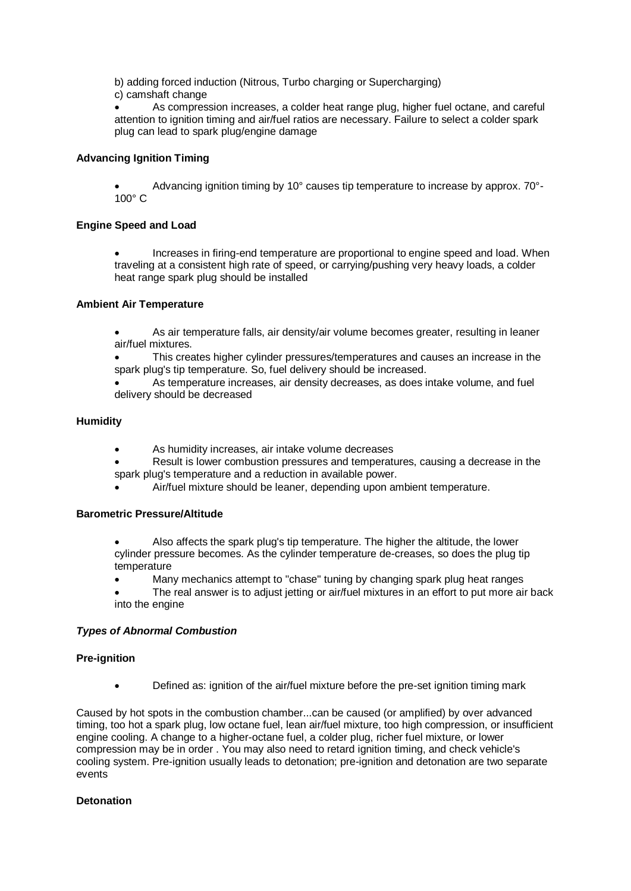b) adding forced induction (Nitrous, Turbo charging or Supercharging)

c) camshaft change

 As compression increases, a colder heat range plug, higher fuel octane, and careful attention to ignition timing and air/fuel ratios are necessary. Failure to select a colder spark plug can lead to spark plug/engine damage

# **Advancing Ignition Timing**

 Advancing ignition timing by 10° causes tip temperature to increase by approx. 70°- 100° C

## **Engine Speed and Load**

 Increases in firing-end temperature are proportional to engine speed and load. When traveling at a consistent high rate of speed, or carrying/pushing very heavy loads, a colder heat range spark plug should be installed

## **Ambient Air Temperature**

- As air temperature falls, air density/air volume becomes greater, resulting in leaner air/fuel mixtures.
- This creates higher cylinder pressures/temperatures and causes an increase in the spark plug's tip temperature. So, fuel delivery should be increased.
- As temperature increases, air density decreases, as does intake volume, and fuel delivery should be decreased

## **Humidity**

- As humidity increases, air intake volume decreases
- Result is lower combustion pressures and temperatures, causing a decrease in the spark plug's temperature and a reduction in available power.
- Air/fuel mixture should be leaner, depending upon ambient temperature.

## **Barometric Pressure/Altitude**

- Also affects the spark plug's tip temperature. The higher the altitude, the lower cylinder pressure becomes. As the cylinder temperature de-creases, so does the plug tip temperature
- Many mechanics attempt to "chase" tuning by changing spark plug heat ranges
- The real answer is to adjust jetting or air/fuel mixtures in an effort to put more air back into the engine

## *Types of Abnormal Combustion*

## **Pre-ignition**

Defined as: ignition of the air/fuel mixture before the pre-set ignition timing mark

Caused by hot spots in the combustion chamber...can be caused (or amplified) by over advanced timing, too hot a spark plug, low octane fuel, lean air/fuel mixture, too high compression, or insufficient engine cooling. A change to a higher-octane fuel, a colder plug, richer fuel mixture, or lower compression may be in order . You may also need to retard ignition timing, and check vehicle's cooling system. Pre-ignition usually leads to detonation; pre-ignition and detonation are two separate events

# **Detonation**